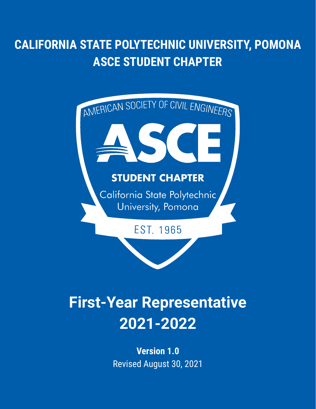# **CALIFORNIA STATE POLYTECHNIC UNIVERSITY, POMONA ASCE STUDENT CHAPTER**



# **First-Year Representative 2021-2022**

**Version 1.0** Revised August 30, 2021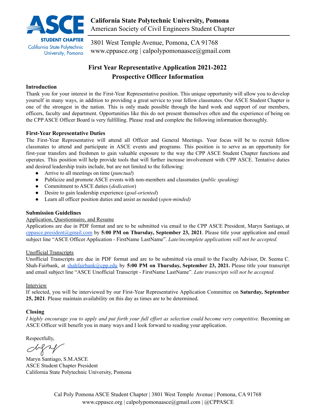

3801 West Temple Avenue, Pomona, CA 91768 [www.cppasce.org](http://www.cppasce.org) | [calpolypomonaasce@gmail.com](mailto:calpolypomonaasce@gmail.com)

### **First Year Representative Application 2021-2022 Prospective Officer Information**

#### **Introduction**

Thank you for your interest in the First-Year Representative position. This unique opportunity will allow you to develop yourself in many ways, in addition to providing a great service to your fellow classmates. Our ASCE Student Chapter is one of the strongest in the nation. This is only made possible through the hard work and support of our members, officers, faculty and department. Opportunities like this do not present themselves often and the experience of being on the CPP ASCE Officer Board is very fulfilling. Please read and complete the following information thoroughly.

#### **First-Year Representative Duties**

The First-Year Representative will attend all Officer and General Meetings. Your focus will be to recruit fellow classmates to attend and participate in ASCE events and programs. This position is to serve as an opportunity for first-year transfers and freshmen to gain valuable exposure to the way the CPP ASCE Student Chapter functions and operates. This position will help provide tools that will further increase involvement with CPP ASCE. Tentative duties and desired leadership traits include, but are not limited to the following:

- Arrive to all meetings on time (*punctual*)
- Publicize and promote ASCE events with non-members and classmates (*public speaking)*
- Commitment to ASCE duties (*dedication*)
- Desire to gain leadership experience (*goal-oriented*)
- Learn all officer position duties and assist as needed (*open-minded)*

#### **Submission Guidelines**

#### Application, Questionnaire, and Resume

Applications are due in PDF format and are to be submitted via email to the CPP ASCE President, Maryn Santiago, at [cppasce.president@gmail.com](mailto:cppasce.president@gmail.com) by **5:00 PM on Thursday, September 23, 2021**. Please title your application and email subject line "ASCE Officer Application - FirstName LastName". *Late/incomplete applications will not be accepted.*

#### Unofficial Transcripts

Unofficial Transcripts are due in PDF format and are to be submitted via email to the Faculty Advisor, Dr. Seema C. Shah-Fairbank, at [shahfairbank@cpp.edu](mailto:shahfairbank@cpp.edu) by **5:00 PM on Thursday, September 23, 2021.** Please title your transcript and email subject line "ASCE Unofficial Transcript - FirstName LastName". *Late transcripts will not be accepted.*

#### Interview

If selected, you will be interviewed by our First-Year Representative Application Committee on **Saturday, September 25, 2021**. Please maintain availability on this day as times are to be determined.

#### **Closing**

*I highly encourage you to apply and put forth your full effort as selection could become very competitive.* Becoming an ASCE Officer will benefit you in many ways and I look forward to reading your application.

Respectfully,

Maryn Santiago, S.M.ASCE ASCE Student Chapter President California State Polytechnic University, Pomona

Cal Poly Pomona ASCE Student Chapter | 3801 West Temple Avenue | Pomona, CA 91768 [www.cppasce.org](http://www.cppasce.org) | [calpolypomonaasce@gmail.com](mailto:calpolypomonaasce@gmail.com) | [@CPPASCE](https://www.instagram.com/cppasce/)